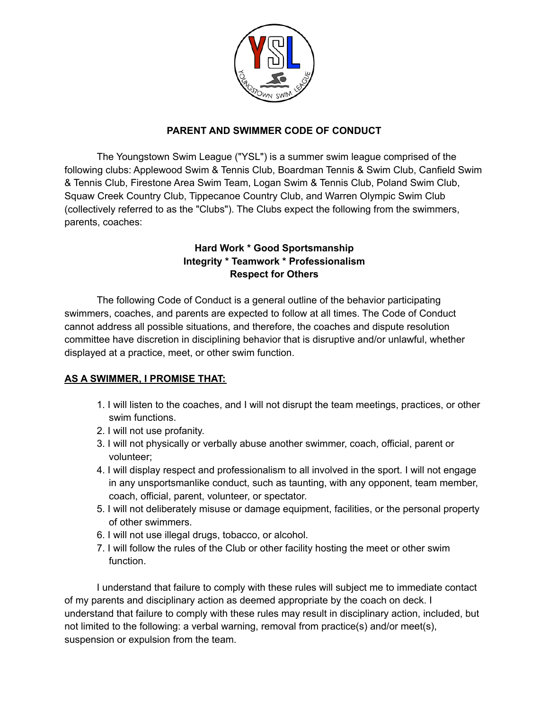

## **PARENT AND SWIMMER CODE OF CONDUCT**

The Youngstown Swim League ("YSL") is a summer swim league comprised of the following clubs: Applewood Swim & Tennis Club, Boardman Tennis & Swim Club, Canfield Swim & Tennis Club, Firestone Area Swim Team, Logan Swim & Tennis Club, Poland Swim Club, Squaw Creek Country Club, Tippecanoe Country Club, and Warren Olympic Swim Club (collectively referred to as the "Clubs"). The Clubs expect the following from the swimmers, parents, coaches:

## **Hard Work \* Good Sportsmanship Integrity \* Teamwork \* Professionalism Respect for Others**

The following Code of Conduct is a general outline of the behavior participating swimmers, coaches, and parents are expected to follow at all times. The Code of Conduct cannot address all possible situations, and therefore, the coaches and dispute resolution committee have discretion in disciplining behavior that is disruptive and/or unlawful, whether displayed at a practice, meet, or other swim function.

## **AS A SWIMMER, I PROMISE THAT:**

- 1. I will listen to the coaches, and I will not disrupt the team meetings, practices, or other swim functions.
- 2. I will not use profanity.
- 3. I will not physically or verbally abuse another swimmer, coach, official, parent or volunteer;
- 4. I will display respect and professionalism to all involved in the sport. I will not engage in any unsportsmanlike conduct, such as taunting, with any opponent, team member, coach, official, parent, volunteer, or spectator.
- 5. I will not deliberately misuse or damage equipment, facilities, or the personal property of other swimmers.
- 6. I will not use illegal drugs, tobacco, or alcohol.
- 7. I will follow the rules of the Club or other facility hosting the meet or other swim function.

I understand that failure to comply with these rules will subject me to immediate contact of my parents and disciplinary action as deemed appropriate by the coach on deck. I understand that failure to comply with these rules may result in disciplinary action, included, but not limited to the following: a verbal warning, removal from practice(s) and/or meet(s), suspension or expulsion from the team.